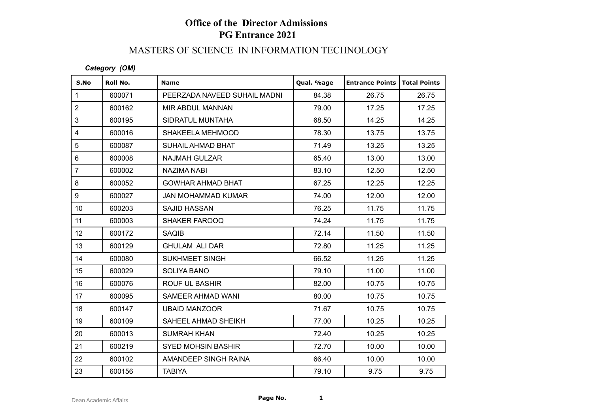## MASTERS OF SCIENCE IN INFORMATION TECHNOLOGY

#### *Category (OM)*

| S.No            | Roll No. | <b>Name</b>                  | Qual. %age | <b>Entrance Points</b> | <b>Total Points</b> |
|-----------------|----------|------------------------------|------------|------------------------|---------------------|
| $\mathbf{1}$    | 600071   | PEERZADA NAVEED SUHAIL MADNI | 84.38      | 26.75                  | 26.75               |
| $\overline{2}$  | 600162   | <b>MIR ABDUL MANNAN</b>      | 79.00      | 17.25                  | 17.25               |
| 3               | 600195   | SIDRATUL MUNTAHA             | 68.50      | 14.25                  | 14.25               |
| $\overline{4}$  | 600016   | SHAKEELA MEHMOOD             | 78.30      | 13.75                  | 13.75               |
| 5               | 600087   | SUHAIL AHMAD BHAT            | 71.49      | 13.25                  | 13.25               |
| $6\phantom{1}$  | 600008   | <b>NAJMAH GULZAR</b>         | 65.40      | 13.00                  | 13.00               |
| $\overline{7}$  | 600002   | <b>NAZIMA NABI</b>           | 83.10      | 12.50                  | 12.50               |
| 8               | 600052   | <b>GOWHAR AHMAD BHAT</b>     | 67.25      | 12.25                  | 12.25               |
| 9               | 600027   | <b>JAN MOHAMMAD KUMAR</b>    | 74.00      | 12.00                  | 12.00               |
| 10 <sup>°</sup> | 600203   | <b>SAJID HASSAN</b>          | 76.25      | 11.75                  | 11.75               |
| 11              | 600003   | SHAKER FAROOQ                | 74.24      | 11.75                  | 11.75               |
| 12 <sup>°</sup> | 600172   | <b>SAQIB</b>                 | 72.14      | 11.50                  | 11.50               |
| 13              | 600129   | <b>GHULAM ALI DAR</b>        | 72.80      | 11.25                  | 11.25               |
| 14              | 600080   | <b>SUKHMEET SINGH</b>        | 66.52      | 11.25                  | 11.25               |
| 15              | 600029   | SOLIYA BANO                  | 79.10      | 11.00                  | 11.00               |
| 16              | 600076   | ROUF UL BASHIR               | 82.00      | 10.75                  | 10.75               |
| 17              | 600095   | SAMEER AHMAD WANI            | 80.00      | 10.75                  | 10.75               |
| 18              | 600147   | <b>UBAID MANZOOR</b>         | 71.67      | 10.75                  | 10.75               |
| 19              | 600109   | SAHEEL AHMAD SHEIKH          | 77.00      | 10.25                  | 10.25               |
| 20              | 600013   | <b>SUMRAH KHAN</b>           | 72.40      | 10.25                  | 10.25               |
| 21              | 600219   | <b>SYED MOHSIN BASHIR</b>    | 72.70      | 10.00                  | 10.00               |
| 22              | 600102   | AMANDEEP SINGH RAINA         | 66.40      | 10.00                  | 10.00               |
| 23              | 600156   | <b>TABIYA</b>                | 79.10      | 9.75                   | 9.75                |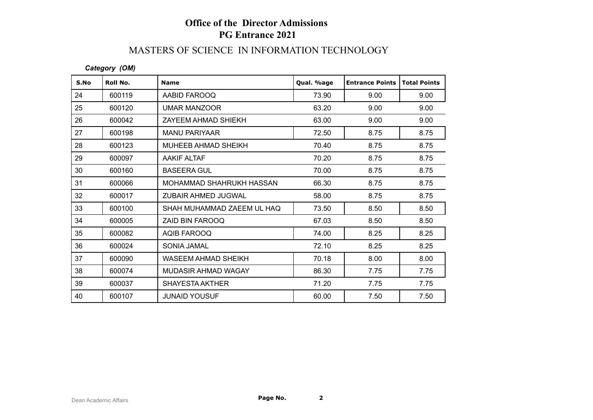### MASTERS OF SCIENCE IN INFORMATION TECHNOLOGY

#### *Category (OM)*

| S.No | Roll No. | <b>Name</b>                | Qual. %age | <b>Entrance Points</b> | <b>Total Points</b> |
|------|----------|----------------------------|------------|------------------------|---------------------|
| 24   | 600119   | AABID FAROOQ               | 73.90      | 9.00                   | 9.00                |
| 25   | 600120   | <b>UMAR MANZOOR</b>        | 63.20      | 9.00                   | 9.00                |
| 26   | 600042   | ZAYEEM AHMAD SHIEKH        | 63.00      | 9.00                   | 9.00                |
| 27   | 600198   | <b>MANU PARIYAAR</b>       | 72.50      | 8.75                   | 8.75                |
| 28   | 600123   | MUHEEB AHMAD SHEIKH        | 70.40      | 8.75                   | 8.75                |
| 29   | 600097   | <b>AAKIF ALTAF</b>         | 70.20      | 8.75                   | 8.75                |
| 30   | 600160   | <b>BASEERA GUL</b>         | 70.00      | 8.75                   | 8.75                |
| 31   | 600066   | MOHAMMAD SHAHRUKH HASSAN   | 66.30      | 8.75                   | 8.75                |
| 32   | 600017   | ZUBAIR AHMED JUGWAL        | 58.00      | 8.75                   | 8.75                |
| 33   | 600100   | SHAH MUHAMMAD ZAEEM UL HAQ | 73.50      | 8.50                   | 8.50                |
| 34   | 600005   | ZAID BIN FAROOQ            | 67.03      | 8.50                   | 8.50                |
| 35   | 600082   | AQIB FAROOQ                | 74.00      | 8.25                   | 8.25                |
| 36   | 600024   | SONIA JAMAL                | 72.10      | 8.25                   | 8.25                |
| 37   | 600090   | WASEEM AHMAD SHEIKH        | 70.18      | 8.00                   | 8.00                |
| 38   | 600074   | MUDASIR AHMAD WAGAY        | 86.30      | 7.75                   | 7.75                |
| 39   | 600037   | <b>SHAYESTA AKTHER</b>     | 71.20      | 7.75                   | 7.75                |
| 40   | 600107   | <b>JUNAID YOUSUF</b>       | 60.00      | 7.50                   | 7.50                |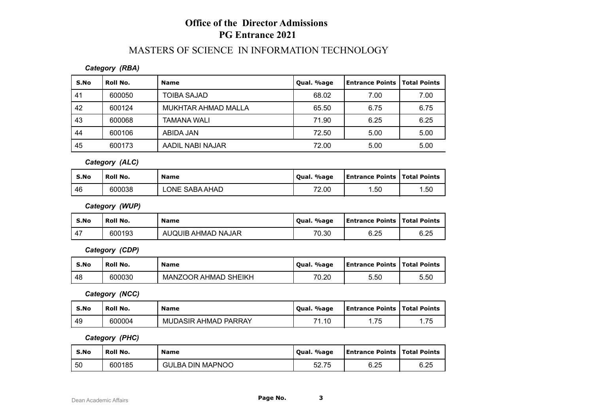# MASTERS OF SCIENCE IN INFORMATION TECHNOLOGY

#### *Category (RBA)*

| S.No | Roll No. | <b>Name</b>         | Qual. %age | Entrance Points   Total Points |      |
|------|----------|---------------------|------------|--------------------------------|------|
| 41   | 600050   | <b>TOIBA SAJAD</b>  | 68.02      | 7.00                           | 7.00 |
| 42   | 600124   | MUKHTAR AHMAD MALLA | 65.50      | 6.75                           | 6.75 |
| 43   | 600068   | <b>TAMANA WALI</b>  | 71.90      | 6.25                           | 6.25 |
| 44   | 600106   | ABIDA JAN           | 72.50      | 5.00                           | 5.00 |
| 45   | 600173   | AADIL NABI NAJAR    | 72.00      | 5.00                           | 5.00 |

*Category (ALC)*

| S.No | Roll No. | <b>Name</b>    | . %age<br>`Oual. | <b>Entrance Points   Total Points</b> |     |
|------|----------|----------------|------------------|---------------------------------------|-----|
| 46   | 600038   | LONE SABA AHAD | 72.00            | .50                                   | .50 |

*Category (WUP)*

| S.No | Roll No. | <b>Name</b>        | . %age<br>' Oual. | <b>Entrance Points   Total Points</b> |      |
|------|----------|--------------------|-------------------|---------------------------------------|------|
| 47   | 600193   | AUQUIB AHMAD NAJAR | 70.30             | 6.25                                  | 6.25 |

*Category (CDP)*

| S.No | Roll No. | <b>Name</b>                 | . %age<br>Oual. | Entrance Points   Total Points |      |
|------|----------|-----------------------------|-----------------|--------------------------------|------|
| 48   | 600030   | <b>MANZOOR AHMAD SHEIKH</b> | 70.20           | 5.50                           | 5.50 |

*Category (NCC)*

| S.No | Roll No. | <b>Name</b>          | . %age<br>' Oual. | Entrance Points   Total Points |     |
|------|----------|----------------------|-------------------|--------------------------------|-----|
| -49  | 600004   | MUDASIR AHMAD PARRAY | 71.10             | 75                             | .75 |

*Category (PHC)*

| S.No | Roll No. | <b>Name</b>             | Oual, %age | <b>Entrance Points   Total Points</b> |      |
|------|----------|-------------------------|------------|---------------------------------------|------|
| l 50 | 600185   | <b>GULBA DIN MAPNOO</b> | 52.75      | 6.25                                  | 6.25 |